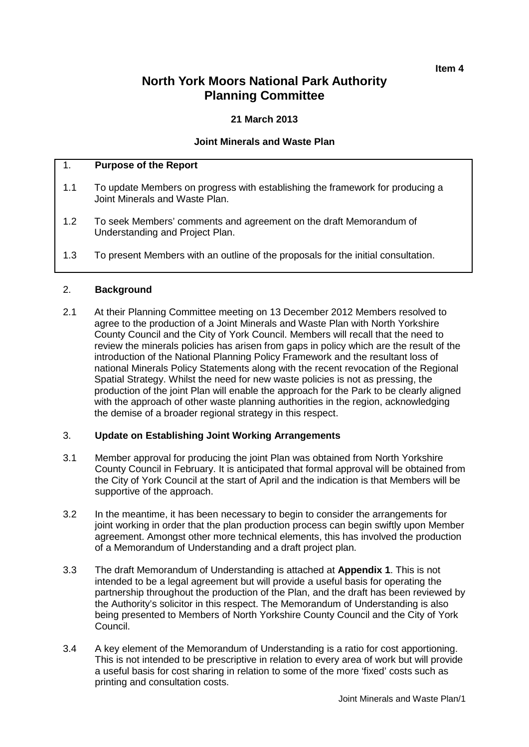# **North York Moors National Park Authority Planning Committee**

# **21 March 2013**

# **Joint Minerals and Waste Plan**

# 1. **Purpose of the Report**

- 1.1 To update Members on progress with establishing the framework for producing a Joint Minerals and Waste Plan.
- 1.2 To seek Members' comments and agreement on the draft Memorandum of Understanding and Project Plan.
- 1.3 To present Members with an outline of the proposals for the initial consultation.

#### 2. **Background**

2.1 At their Planning Committee meeting on 13 December 2012 Members resolved to agree to the production of a Joint Minerals and Waste Plan with North Yorkshire County Council and the City of York Council. Members will recall that the need to review the minerals policies has arisen from gaps in policy which are the result of the introduction of the National Planning Policy Framework and the resultant loss of national Minerals Policy Statements along with the recent revocation of the Regional Spatial Strategy. Whilst the need for new waste policies is not as pressing, the production of the joint Plan will enable the approach for the Park to be clearly aligned with the approach of other waste planning authorities in the region, acknowledging the demise of a broader regional strategy in this respect.

#### 3. **Update on Establishing Joint Working Arrangements**

- 3.1 Member approval for producing the joint Plan was obtained from North Yorkshire County Council in February. It is anticipated that formal approval will be obtained from the City of York Council at the start of April and the indication is that Members will be supportive of the approach.
- 3.2 In the meantime, it has been necessary to begin to consider the arrangements for joint working in order that the plan production process can begin swiftly upon Member agreement. Amongst other more technical elements, this has involved the production of a Memorandum of Understanding and a draft project plan.
- 3.3 The draft Memorandum of Understanding is attached at **Appendix 1**. This is not intended to be a legal agreement but will provide a useful basis for operating the partnership throughout the production of the Plan, and the draft has been reviewed by the Authority's solicitor in this respect. The Memorandum of Understanding is also being presented to Members of North Yorkshire County Council and the City of York Council.
- 3.4 A key element of the Memorandum of Understanding is a ratio for cost apportioning. This is not intended to be prescriptive in relation to every area of work but will provide a useful basis for cost sharing in relation to some of the more 'fixed' costs such as printing and consultation costs.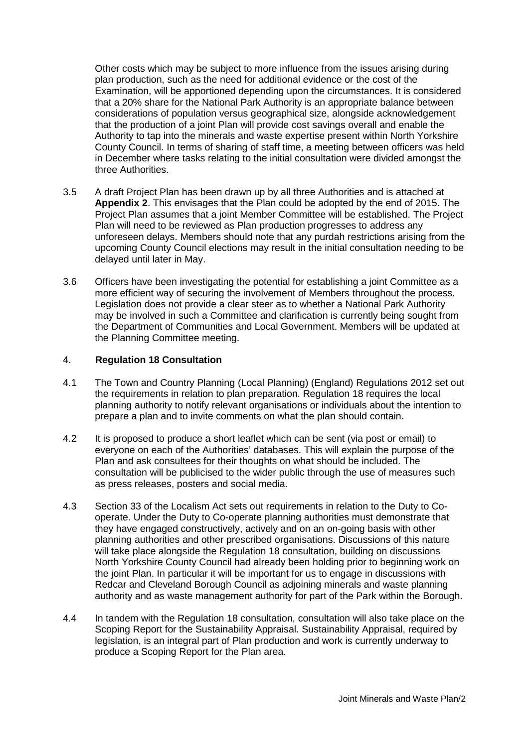Other costs which may be subject to more influence from the issues arising during plan production, such as the need for additional evidence or the cost of the Examination, will be apportioned depending upon the circumstances. It is considered that a 20% share for the National Park Authority is an appropriate balance between considerations of population versus geographical size, alongside acknowledgement that the production of a joint Plan will provide cost savings overall and enable the Authority to tap into the minerals and waste expertise present within North Yorkshire County Council. In terms of sharing of staff time, a meeting between officers was held in December where tasks relating to the initial consultation were divided amongst the three Authorities.

- 3.5 A draft Project Plan has been drawn up by all three Authorities and is attached at **Appendix 2**. This envisages that the Plan could be adopted by the end of 2015. The Project Plan assumes that a joint Member Committee will be established. The Project Plan will need to be reviewed as Plan production progresses to address any unforeseen delays. Members should note that any purdah restrictions arising from the upcoming County Council elections may result in the initial consultation needing to be delayed until later in May.
- 3.6 Officers have been investigating the potential for establishing a joint Committee as a more efficient way of securing the involvement of Members throughout the process. Legislation does not provide a clear steer as to whether a National Park Authority may be involved in such a Committee and clarification is currently being sought from the Department of Communities and Local Government. Members will be updated at the Planning Committee meeting.

# 4. **Regulation 18 Consultation**

- 4.1 The Town and Country Planning (Local Planning) (England) Regulations 2012 set out the requirements in relation to plan preparation. Regulation 18 requires the local planning authority to notify relevant organisations or individuals about the intention to prepare a plan and to invite comments on what the plan should contain.
- 4.2 It is proposed to produce a short leaflet which can be sent (via post or email) to everyone on each of the Authorities' databases. This will explain the purpose of the Plan and ask consultees for their thoughts on what should be included. The consultation will be publicised to the wider public through the use of measures such as press releases, posters and social media.
- 4.3 Section 33 of the Localism Act sets out requirements in relation to the Duty to Cooperate. Under the Duty to Co-operate planning authorities must demonstrate that they have engaged constructively, actively and on an on-going basis with other planning authorities and other prescribed organisations. Discussions of this nature will take place alongside the Regulation 18 consultation, building on discussions North Yorkshire County Council had already been holding prior to beginning work on the joint Plan. In particular it will be important for us to engage in discussions with Redcar and Cleveland Borough Council as adjoining minerals and waste planning authority and as waste management authority for part of the Park within the Borough.
- 4.4 In tandem with the Regulation 18 consultation, consultation will also take place on the Scoping Report for the Sustainability Appraisal. Sustainability Appraisal, required by legislation, is an integral part of Plan production and work is currently underway to produce a Scoping Report for the Plan area.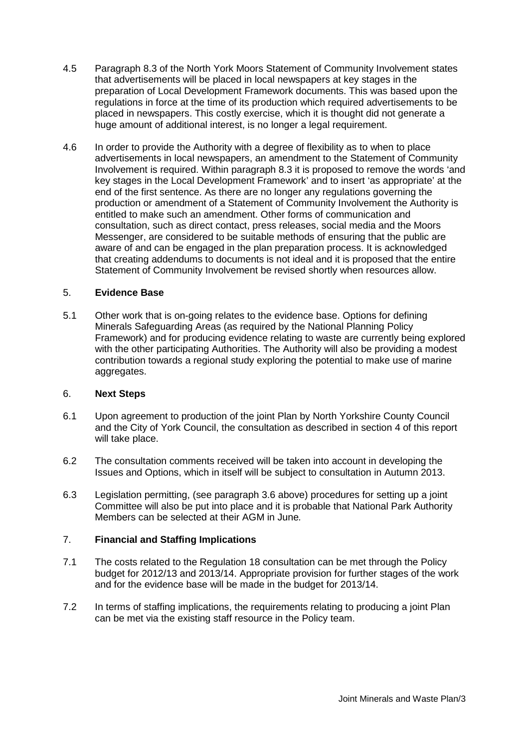- 4.5 Paragraph 8.3 of the North York Moors Statement of Community Involvement states that advertisements will be placed in local newspapers at key stages in the preparation of Local Development Framework documents. This was based upon the regulations in force at the time of its production which required advertisements to be placed in newspapers. This costly exercise, which it is thought did not generate a huge amount of additional interest, is no longer a legal requirement.
- 4.6 In order to provide the Authority with a degree of flexibility as to when to place advertisements in local newspapers, an amendment to the Statement of Community Involvement is required. Within paragraph 8.3 it is proposed to remove the words 'and key stages in the Local Development Framework' and to insert 'as appropriate' at the end of the first sentence. As there are no longer any regulations governing the production or amendment of a Statement of Community Involvement the Authority is entitled to make such an amendment. Other forms of communication and consultation, such as direct contact, press releases, social media and the Moors Messenger, are considered to be suitable methods of ensuring that the public are aware of and can be engaged in the plan preparation process. It is acknowledged that creating addendums to documents is not ideal and it is proposed that the entire Statement of Community Involvement be revised shortly when resources allow.

# 5. **Evidence Base**

5.1 Other work that is on-going relates to the evidence base. Options for defining Minerals Safeguarding Areas (as required by the National Planning Policy Framework) and for producing evidence relating to waste are currently being explored with the other participating Authorities. The Authority will also be providing a modest contribution towards a regional study exploring the potential to make use of marine aggregates.

# 6. **Next Steps**

- 6.1 Upon agreement to production of the joint Plan by North Yorkshire County Council and the City of York Council, the consultation as described in section 4 of this report will take place.
- 6.2 The consultation comments received will be taken into account in developing the Issues and Options, which in itself will be subject to consultation in Autumn 2013.
- 6.3 Legislation permitting, (see paragraph 3.6 above) procedures for setting up a joint Committee will also be put into place and it is probable that National Park Authority Members can be selected at their AGM in June*.*

# 7. **Financial and Staffing Implications**

- 7.1 The costs related to the Regulation 18 consultation can be met through the Policy budget for 2012/13 and 2013/14. Appropriate provision for further stages of the work and for the evidence base will be made in the budget for 2013/14.
- 7.2 In terms of staffing implications, the requirements relating to producing a joint Plan can be met via the existing staff resource in the Policy team.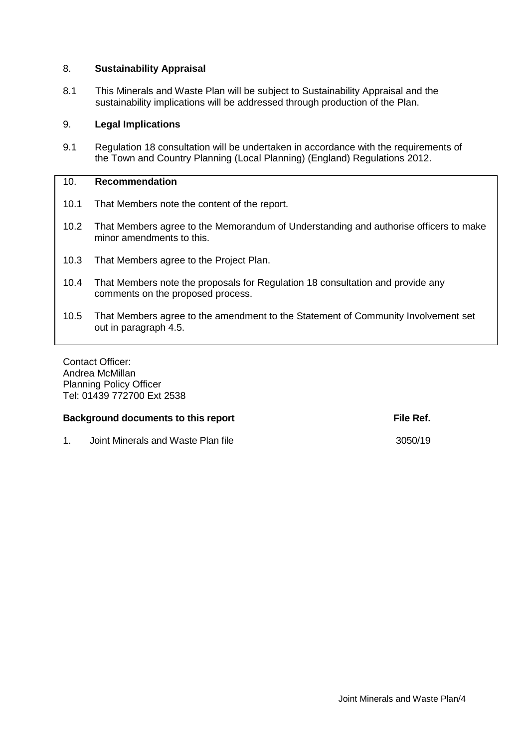# 8. **Sustainability Appraisal**

8.1 This Minerals and Waste Plan will be subject to Sustainability Appraisal and the sustainability implications will be addressed through production of the Plan.

# 9. **Legal Implications**

9.1 Regulation 18 consultation will be undertaken in accordance with the requirements of the Town and Country Planning (Local Planning) (England) Regulations 2012.

# 10. **Recommendation**

- 10.1 That Members note the content of the report.
- 10.2 That Members agree to the Memorandum of Understanding and authorise officers to make minor amendments to this.
- 10.3 That Members agree to the Project Plan.
- 10.4 That Members note the proposals for Regulation 18 consultation and provide any comments on the proposed process.
- 10.5 That Members agree to the amendment to the Statement of Community Involvement set out in paragraph 4.5.

Contact Officer: Andrea McMillan Planning Policy Officer Tel: 01439 772700 Ext 2538

#### **Background documents to this report File Ref. File Ref.**

1. Joint Minerals and Waste Plan file 3050/19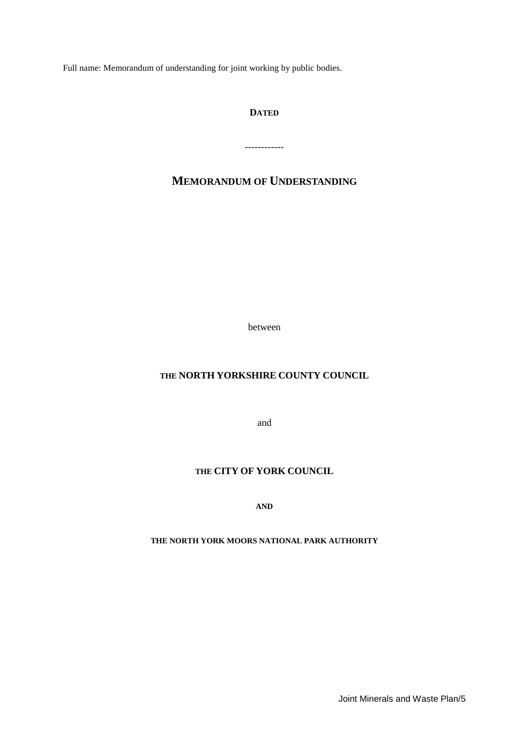Full name: Memorandum of understanding for joint working by public bodies.

# **DATED**

------------

# **MEMORANDUM OF UNDERSTANDING**

between

# **THE NORTH YORKSHIRE COUNTY COUNCIL**

and

# **THE CITY OF YORK COUNCIL**

**AND**

#### **THE NORTH YORK MOORS NATIONAL PARK AUTHORITY**

Joint Minerals and Waste Plan/5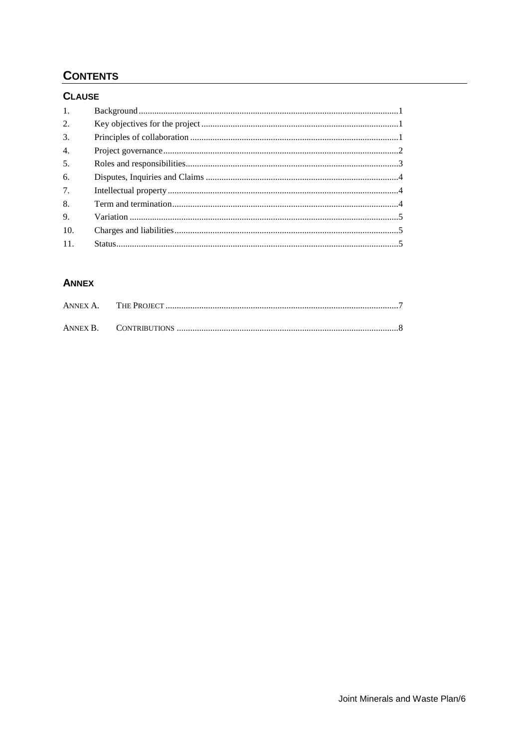# **CONTENTS**

# **CLAUSE**

| 1.               |  |
|------------------|--|
| 2.               |  |
| 3.               |  |
| $\overline{4}$ . |  |
| 5.               |  |
| 6.               |  |
| 7.               |  |
| 8.               |  |
| 9.               |  |
| 10.              |  |
| 11.              |  |

# **ANNEX**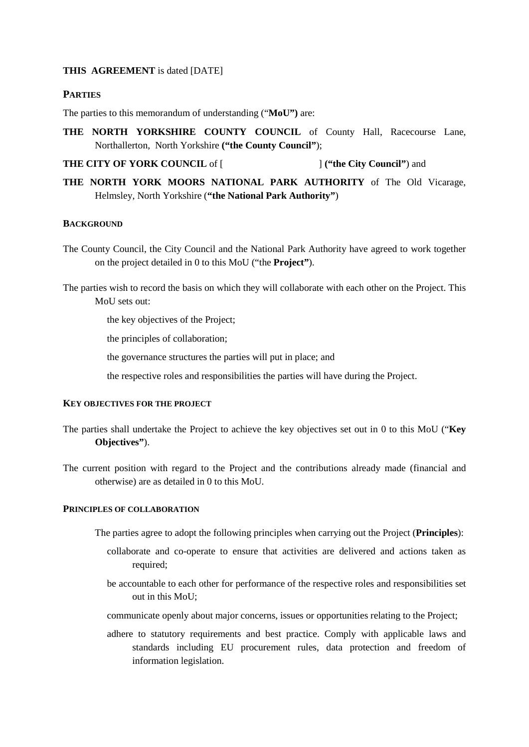#### **THIS AGREEMENT** is dated [DATE]

# **PARTIES**

The parties to this memorandum of understanding ("**MoU")** are:

**THE NORTH YORKSHIRE COUNTY COUNCIL** of County Hall, Racecourse Lane, Northallerton, North Yorkshire **("the County Council"**);

**THE CITY OF YORK COUNCIL** of [  $\qquad \qquad$  ] ("the City Council") and

**THE NORTH YORK MOORS NATIONAL PARK AUTHORITY** of The Old Vicarage, Helmsley, North Yorkshire (**"the National Park Authority"**)

# **BACKGROUND**

The County Council, the City Council and the National Park Authority have agreed to work together on the project detailed in [0](#page-12-0) to this MoU ("the **Project"**).

The parties wish to record the basis on which they will collaborate with each other on the Project. This MoU sets out:

the key objectives of the Project;

the principles of collaboration;

the governance structures the parties will put in place; and

the respective roles and responsibilities the parties will have during the Project.

### **KEY OBJECTIVES FOR THE PROJECT**

- The parties shall undertake the Project to achieve the key objectives set out in [0](#page-12-0) to this MoU ("**Key Objectives"**).
- The current position with regard to the Project and the contributions already made (financial and otherwise) are as detailed in [0](#page-12-0) to this MoU.

### **PRINCIPLES OF COLLABORATION**

- The parties agree to adopt the following principles when carrying out the Project (**Principles**):
	- collaborate and co-operate to ensure that activities are delivered and actions taken as required;
	- be accountable to each other for performance of the respective roles and responsibilities set out in this MoU;
	- communicate openly about major concerns, issues or opportunities relating to the Project;
	- adhere to statutory requirements and best practice. Comply with applicable laws and standards including EU procurement rules, data protection and freedom of information legislation.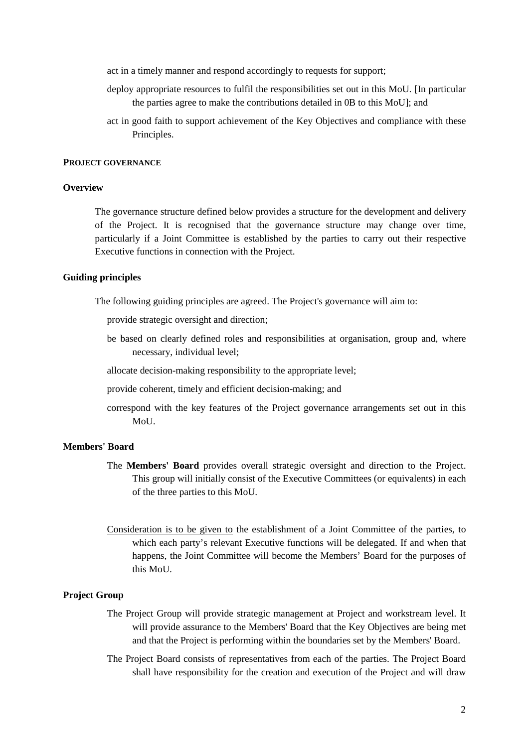act in a timely manner and respond accordingly to requests for support;

- deploy appropriate resources to fulfil the responsibilities set out in this MoU. [In particular the parties agree to make the contributions detailed in [0B](#page-13-0) to this MoU]; and
- act in good faith to support achievement of the Key Objectives and compliance with these Principles.

#### **PROJECT GOVERNANCE**

#### **Overview**

The governance structure defined below provides a structure for the development and delivery of the Project. It is recognised that the governance structure may change over time, particularly if a Joint Committee is established by the parties to carry out their respective Executive functions in connection with the Project.

### **Guiding principles**

The following guiding principles are agreed. The Project's governance will aim to:

provide strategic oversight and direction;

- be based on clearly defined roles and responsibilities at organisation, group and, where necessary, individual level;
- allocate decision-making responsibility to the appropriate level;
- provide coherent, timely and efficient decision-making; and
- correspond with the key features of the Project governance arrangements set out in this MoU.

#### **Members' Board**

- The **Members' Board** provides overall strategic oversight and direction to the Project. This group will initially consist of the Executive Committees (or equivalents) in each of the three parties to this MoU.
- Consideration is to be given to the establishment of a Joint Committee of the parties, to which each party's relevant Executive functions will be delegated. If and when that happens, the Joint Committee will become the Members' Board for the purposes of this MoU.

#### **Project Group**

- The Project Group will provide strategic management at Project and workstream level. It will provide assurance to the Members' Board that the Key Objectives are being met and that the Project is performing within the boundaries set by the Members' Board.
- The Project Board consists of representatives from each of the parties. The Project Board shall have responsibility for the creation and execution of the Project and will draw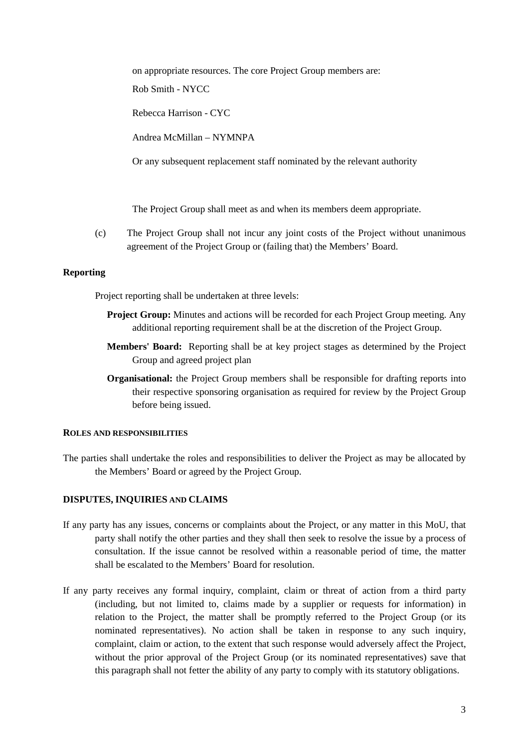on appropriate resources. The core Project Group members are:

Rob Smith - NYCC

Rebecca Harrison - CYC

Andrea McMillan – NYMNPA

Or any subsequent replacement staff nominated by the relevant authority

The Project Group shall meet as and when its members deem appropriate.

(c) The Project Group shall not incur any joint costs of the Project without unanimous agreement of the Project Group or (failing that) the Members' Board.

# **Reporting**

Project reporting shall be undertaken at three levels:

- **Project Group:** Minutes and actions will be recorded for each Project Group meeting. Any additional reporting requirement shall be at the discretion of the Project Group.
- **Members' Board:** Reporting shall be at key project stages as determined by the Project Group and agreed project plan
- **Organisational:** the Project Group members shall be responsible for drafting reports into their respective sponsoring organisation as required for review by the Project Group before being issued.

#### **ROLES AND RESPONSIBILITIES**

The parties shall undertake the roles and responsibilities to deliver the Project as may be allocated by the Members' Board or agreed by the Project Group.

# **DISPUTES, INQUIRIES AND CLAIMS**

- If any party has any issues, concerns or complaints about the Project, or any matter in this MoU, that party shall notify the other parties and they shall then seek to resolve the issue by a process of consultation. If the issue cannot be resolved within a reasonable period of time, the matter shall be escalated to the Members' Board for resolution.
- If any party receives any formal inquiry, complaint, claim or threat of action from a third party (including, but not limited to, claims made by a supplier or requests for information) in relation to the Project, the matter shall be promptly referred to the Project Group (or its nominated representatives). No action shall be taken in response to any such inquiry, complaint, claim or action, to the extent that such response would adversely affect the Project, without the prior approval of the Project Group (or its nominated representatives) save that this paragraph shall not fetter the ability of any party to comply with its statutory obligations.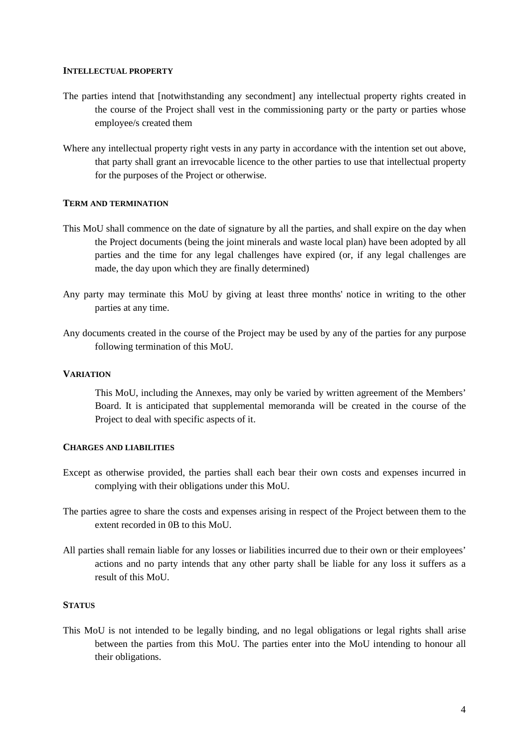#### **INTELLECTUAL PROPERTY**

- The parties intend that [notwithstanding any secondment] any intellectual property rights created in the course of the Project shall vest in the commissioning party or the party or parties whose employee/s created them
- Where any intellectual property right vests in any party in accordance with the intention set out above, that party shall grant an irrevocable licence to the other parties to use that intellectual property for the purposes of the Project or otherwise.

#### **TERM AND TERMINATION**

- This MoU shall commence on the date of signature by all the parties, and shall expire on the day when the Project documents (being the joint minerals and waste local plan) have been adopted by all parties and the time for any legal challenges have expired (or, if any legal challenges are made, the day upon which they are finally determined)
- Any party may terminate this MoU by giving at least three months' notice in writing to the other parties at any time.
- Any documents created in the course of the Project may be used by any of the parties for any purpose following termination of this MoU.

#### **VARIATION**

This MoU, including the Annexes, may only be varied by written agreement of the Members' Board. It is anticipated that supplemental memoranda will be created in the course of the Project to deal with specific aspects of it.

#### **CHARGES AND LIABILITIES**

- Except as otherwise provided, the parties shall each bear their own costs and expenses incurred in complying with their obligations under this MoU.
- The parties agree to share the costs and expenses arising in respect of the Project between them to the extent recorded in [0B](#page-13-0) to this MoU.
- All parties shall remain liable for any losses or liabilities incurred due to their own or their employees' actions and no party intends that any other party shall be liable for any loss it suffers as a result of this MoU.

#### **STATUS**

This MoU is not intended to be legally binding, and no legal obligations or legal rights shall arise between the parties from this MoU. The parties enter into the MoU intending to honour all their obligations.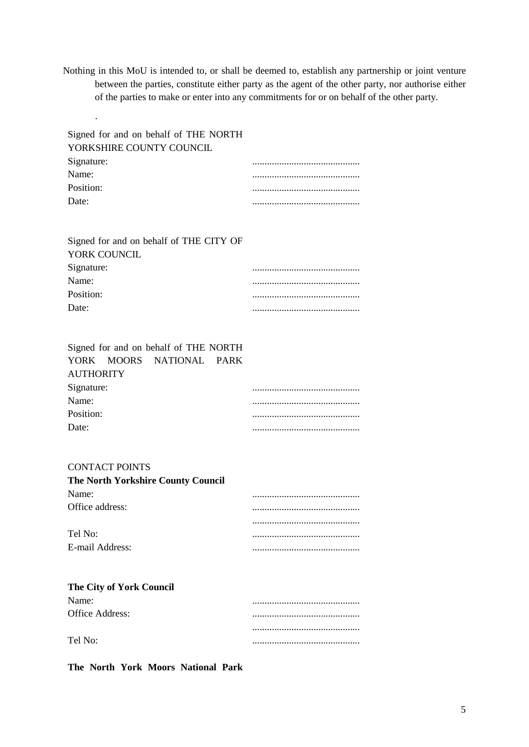Nothing in this MoU is intended to, or shall be deemed to, establish any partnership or joint venture between the parties, constitute either party as the agent of the other party, nor authorise either of the parties to make or enter into any commitments for or on behalf of the other party.

| Signed for and on behalf of THE NORTH<br>YORKSHIRE COUNTY COUNCIL<br>Signature:<br>Name:<br>Position:<br>Date:                                                          | <br> |  |  |  |  |  |  |  |
|-------------------------------------------------------------------------------------------------------------------------------------------------------------------------|------|--|--|--|--|--|--|--|
| Signed for and on behalf of THE CITY OF<br>YORK COUNCIL<br>Signature:<br>Name:<br>Position:<br>Date:                                                                    | <br> |  |  |  |  |  |  |  |
| Signed for and on behalf of THE NORTH<br><b>YORK</b><br><b>MOORS</b><br><b>NATIONAL</b><br><b>PARK</b><br><b>AUTHORITY</b><br>Signature:<br>Name:<br>Position:<br>Date: |      |  |  |  |  |  |  |  |
| <b>CONTACT POINTS</b><br>The North Yorkshire County Council<br>Name:<br>Office address:<br>Tel No:<br>E-mail Address:                                                   |      |  |  |  |  |  |  |  |
| The City of York Council<br>Name:<br>Office Address:<br>Tel No:                                                                                                         |      |  |  |  |  |  |  |  |

**The North York Moors National Park** 

.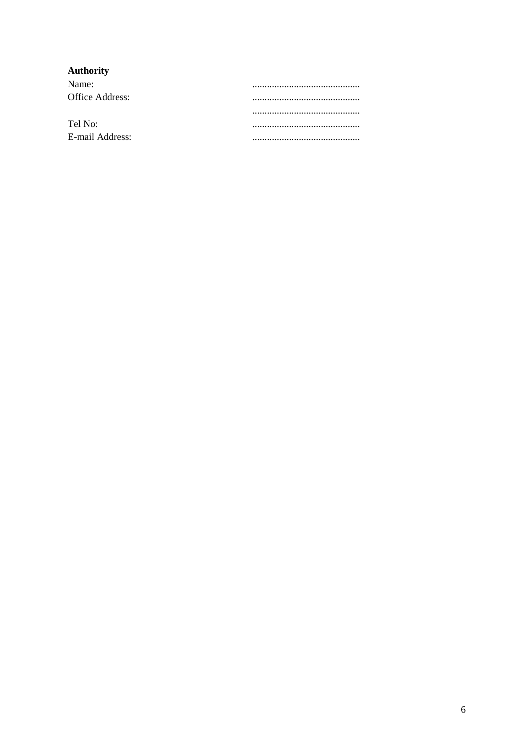# Authority

| Name:           |  |
|-----------------|--|
| Office Address: |  |
|                 |  |
|                 |  |
| Tel No:         |  |
| E-mail Address: |  |
|                 |  |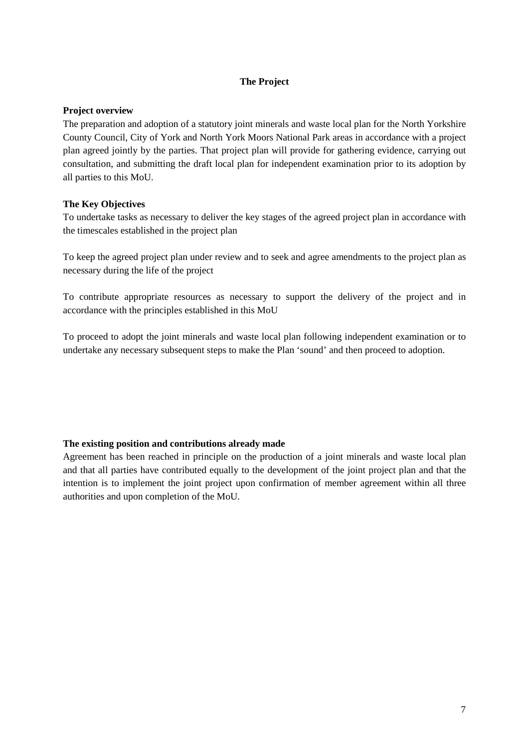# **The Project**

### <span id="page-12-0"></span>**Project overview**

The preparation and adoption of a statutory joint minerals and waste local plan for the North Yorkshire County Council, City of York and North York Moors National Park areas in accordance with a project plan agreed jointly by the parties. That project plan will provide for gathering evidence, carrying out consultation, and submitting the draft local plan for independent examination prior to its adoption by all parties to this MoU.

# **The Key Objectives**

To undertake tasks as necessary to deliver the key stages of the agreed project plan in accordance with the timescales established in the project plan

To keep the agreed project plan under review and to seek and agree amendments to the project plan as necessary during the life of the project

To contribute appropriate resources as necessary to support the delivery of the project and in accordance with the principles established in this MoU

To proceed to adopt the joint minerals and waste local plan following independent examination or to undertake any necessary subsequent steps to make the Plan 'sound' and then proceed to adoption.

# **The existing position and contributions already made**

Agreement has been reached in principle on the production of a joint minerals and waste local plan and that all parties have contributed equally to the development of the joint project plan and that the intention is to implement the joint project upon confirmation of member agreement within all three authorities and upon completion of the MoU.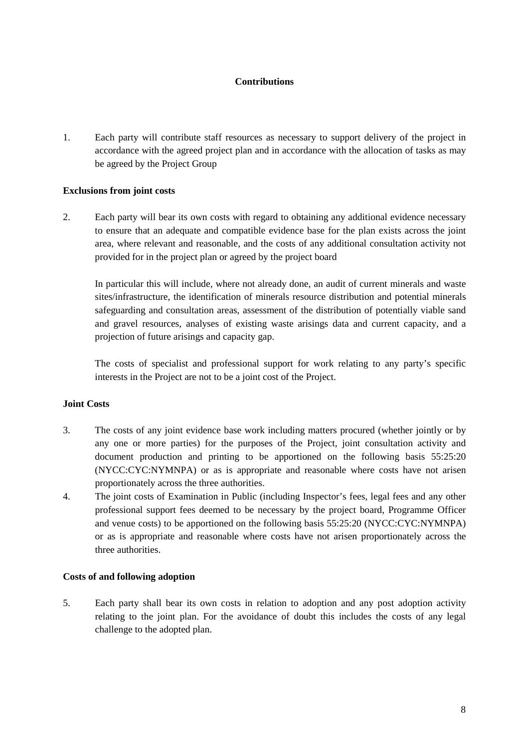# **Contributions**

<span id="page-13-0"></span>1. Each party will contribute staff resources as necessary to support delivery of the project in accordance with the agreed project plan and in accordance with the allocation of tasks as may be agreed by the Project Group

# **Exclusions from joint costs**

2. Each party will bear its own costs with regard to obtaining any additional evidence necessary to ensure that an adequate and compatible evidence base for the plan exists across the joint area, where relevant and reasonable, and the costs of any additional consultation activity not provided for in the project plan or agreed by the project board

In particular this will include, where not already done, an audit of current minerals and waste sites/infrastructure, the identification of minerals resource distribution and potential minerals safeguarding and consultation areas, assessment of the distribution of potentially viable sand and gravel resources, analyses of existing waste arisings data and current capacity, and a projection of future arisings and capacity gap.

The costs of specialist and professional support for work relating to any party's specific interests in the Project are not to be a joint cost of the Project.

# **Joint Costs**

- 3. The costs of any joint evidence base work including matters procured (whether jointly or by any one or more parties) for the purposes of the Project, joint consultation activity and document production and printing to be apportioned on the following basis 55:25:20 (NYCC:CYC:NYMNPA) or as is appropriate and reasonable where costs have not arisen proportionately across the three authorities.
- 4. The joint costs of Examination in Public (including Inspector's fees, legal fees and any other professional support fees deemed to be necessary by the project board, Programme Officer and venue costs) to be apportioned on the following basis 55:25:20 (NYCC:CYC:NYMNPA) or as is appropriate and reasonable where costs have not arisen proportionately across the three authorities.

#### **Costs of and following adoption**

5. Each party shall bear its own costs in relation to adoption and any post adoption activity relating to the joint plan. For the avoidance of doubt this includes the costs of any legal challenge to the adopted plan.